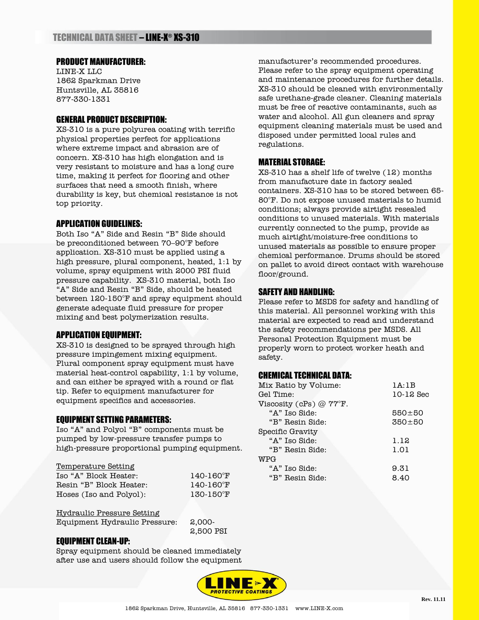# PRODUCT MANUFACTURER:

LINE-X LLC 1862 Sparkman Drive Huntsville, AL 35816 877-330-1331

## GENERAL PRODUCT DESCRIPTION:

XS-310 is a pure polyurea coating with terrific physical properties perfect for applications where extreme impact and abrasion are of concern. XS-310 has high elongation and is very resistant to moisture and has a long cure time, making it perfect for flooring and other surfaces that need a smooth finish, where durability is key, but chemical resistance is not top priority.

## APPLICATION GUIDELINES:

Both Iso "A" Side and Resin "B" Side should be preconditioned between 70–90°F before application. XS-310 must be applied using a high pressure, plural component, heated, 1:1 by volume, spray equipment with 2000 PSI fluid pressure capability. XS-310 material, both Iso "A" Side and Resin "B" Side, should be heated between 120-150°F and spray equipment should generate adequate fluid pressure for proper mixing and best polymerization results.

### APPLICATION EQUIPMENT:

XS-310 is designed to be sprayed through high pressure impingement mixing equipment. Plural component spray equipment must have material heat-control capability, 1:1 by volume, and can either be sprayed with a round or flat tip. Refer to equipment manufacturer for equipment specifics and accessories.

## EQUIPMENT SETTING PARAMETERS:

Iso "A" and Polyol "B" components must be pumped by low-pressure transfer pumps to high-pressure proportional pumping equipment.

### Temperature Setting

| Iso "A" Block Heater:   | $140 - 160$ <sup>°</sup> F |
|-------------------------|----------------------------|
| Resin "B" Block Heater: | 140-160°F                  |
| Hoses (Iso and Polyol): | 130-150°F                  |

Hydraulic Pressure Setting

Equipment Hydraulic Pressure: 2,000-

2,500 PSI

### EQUIPMENT CLEAN-UP:

Spray equipment should be cleaned immediately after use and users should follow the equipment manufacturer's recommended procedures. Please refer to the spray equipment operating and maintenance procedures for further details. XS-310 should be cleaned with environmentally safe urethane-grade cleaner. Cleaning materials must be free of reactive contaminants, such as water and alcohol. All gun cleaners and spray equipment cleaning materials must be used and disposed under permitted local rules and regulations.

### MATERIAL STORAGE:

XS-310 has a shelf life of twelve (12) months from manufacture date in factory sealed containers. XS-310 has to be stored between 65- 80°F. Do not expose unused materials to humid conditions; always provide airtight resealed conditions to unused materials. With materials currently connected to the pump, provide as much airtight/moisture-free conditions to unused materials as possible to ensure proper chemical performance. Drums should be stored on pallet to avoid direct contact with warehouse floor/ground.

## SAFETY AND HANDLING:

Please refer to MSDS for safety and handling of this material. All personnel working with this material are expected to read and understand the safety recommendations per MSDS. All Personal Protection Equipment must be properly worn to protect worker heath and safety.

### CHEMICAL TECHNICAL DATA:

| Mix Ratio by Volume:      | 1A:1B       |
|---------------------------|-------------|
| Gel Time:                 | $10-12$ Sec |
| Viscosity (cPs) $@$ 77°F. |             |
| "A" Iso Side:             | $550 + 50$  |
| "B" Resin Side:           | $350 + 50$  |
| Specific Gravity          |             |
| "A" Iso Side:             | 1.12        |
| "B" Resin Side:           | 1.01        |
| WPG                       |             |
| "A" Iso Side:             | 9.31        |
| "B" Resin Side:           | 8.40        |